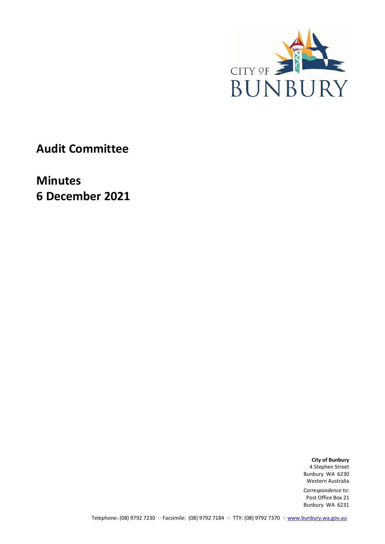

**Audit Committee**

**Minutes 6 December 2021**

> **City of Bunbury** 4 Stephen Street Bunbury WA 6230 Western Australia

*Correspondence to:* Post Office Box 21 Bunbury WA 6231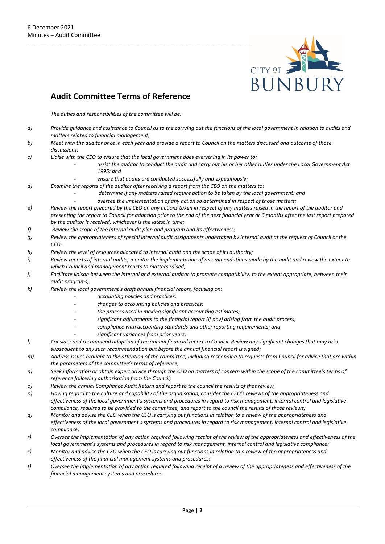

## **Audit Committee Terms of Reference**

*The duties and responsibilities of the committee will be:*

- *a) Provide guidance and assistance to Council as to the carrying out the functions of the local government in relation to audits and matters related to financial management;*
- *b) Meet with the auditor once in each year and provide a report to Council on the matters discussed and outcome of those discussions;*
- *c) Liaise with the CEO to ensure that the local government does everything in its power to:* 
	- *- assist the auditor to conduct the audit and carry out his or her other duties under the Local Government Act 1995; and* 
		- *- ensure that audits are conducted successfully and expeditiously;*
- *d) Examine the reports of the auditor after receiving a report from the CEO on the matters to:* 
	- *- determine if any matters raised require action to be taken by the local government; and*
	- *- oversee the implementation of any action so determined in respect of those matters;*
- *e) Review the report prepared by the CEO on any actions taken in respect of any matters raised in the report of the auditor and presenting the report to Council for adoption prior to the end of the next financial year or 6 months after the last report prepared by the auditor is received, whichever is the latest in time;*
- *f) Review the scope of the internal audit plan and program and its effectiveness;*
- *g) Review the appropriateness of special internal audit assignments undertaken by internal audit at the request of Council or the CEO;*
- *h) Review the level of resources allocated to internal audit and the scope of its authority;*
- *i) Review reports of internal audits, monitor the implementation of recommendations made by the audit and review the extent to which Council and management reacts to matters raised;*
- *j) Facilitate liaison between the internal and external auditor to promote compatibility, to the extent appropriate, between their audit programs;*
- *k) Review the local government's draft annual financial report, focusing on:* 
	- *- accounting policies and practices;*
	- *- changes to accounting policies and practices;*
	- *- the process used in making significant accounting estimates;*
	- *- significant adjustments to the financial report (if any) arising from the audit process;*
	- *- compliance with accounting standards and other reporting requirements; and* 
		- *- significant variances from prior years;*
- *l) Consider and recommend adoption of the annual financial report to Council. Review any significant changes that may arise subsequent to any such recommendation but before the annual financial report is signed;*
- *m) Address issues brought to the attention of the committee, including responding to requests from Council for advice that are within the parameters of the committee's terms of reference;*
- *n) Seek information or obtain expert advice through the CEO on matters of concern within the scope of the committee's terms of reference following authorisation from the Council;*
- *o) Review the annual Compliance Audit Return and report to the council the results of that review,*
- *p) Having regard to the culture and capability of the organisation, consider the CEO's reviews of the appropriateness and effectiveness of the local government's systems and procedures in regard to risk management, internal control and legislative compliance, required to be provided to the committee, and report to the council the results of those reviews;*
- *q) Monitor and advise the CEO when the CEO is carrying out functions in relation to a review of the appropriateness and effectiveness of the local government's systems and procedures in regard to risk management, internal control and legislative compliance;*
- *r) Oversee the implementation of any action required following receipt of the review of the appropriateness and effectiveness of the local government's systems and procedures in regard to risk management, internal control and legislative compliance;*
- *s) Monitor and advise the CEO when the CEO is carrying out functions in relation to a review of the appropriateness and effectiveness of the financial management systems and procedures;*
- *t) Oversee the implementation of any action required following receipt of a review of the appropriateness and effectiveness of the financial management systems and procedures.*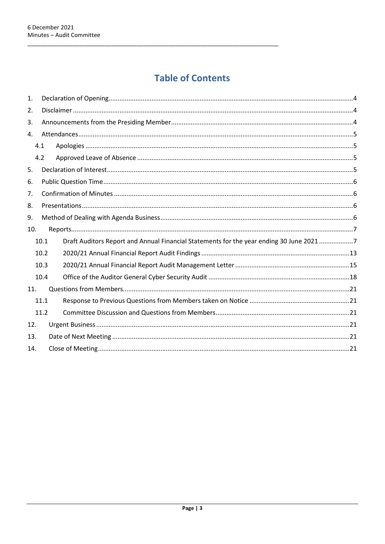# **Table of Contents**

| 1.  |      |                                                                                          |  |  |
|-----|------|------------------------------------------------------------------------------------------|--|--|
| 2.  |      |                                                                                          |  |  |
| 3.  |      |                                                                                          |  |  |
| 4.  |      |                                                                                          |  |  |
|     | 4.1  |                                                                                          |  |  |
|     | 4.2  |                                                                                          |  |  |
| 5.  |      |                                                                                          |  |  |
| 6.  |      |                                                                                          |  |  |
| 7.  |      |                                                                                          |  |  |
| 8.  |      |                                                                                          |  |  |
| 9.  |      |                                                                                          |  |  |
| 10. |      |                                                                                          |  |  |
|     | 10.1 | Draft Auditors Report and Annual Financial Statements for the year ending 30 June 2021 7 |  |  |
|     | 10.2 |                                                                                          |  |  |
|     | 10.3 |                                                                                          |  |  |
|     | 10.4 |                                                                                          |  |  |
| 11. |      |                                                                                          |  |  |
|     | 11.1 |                                                                                          |  |  |
|     | 11.2 |                                                                                          |  |  |
| 12. |      |                                                                                          |  |  |
| 13. |      |                                                                                          |  |  |
| 14. |      |                                                                                          |  |  |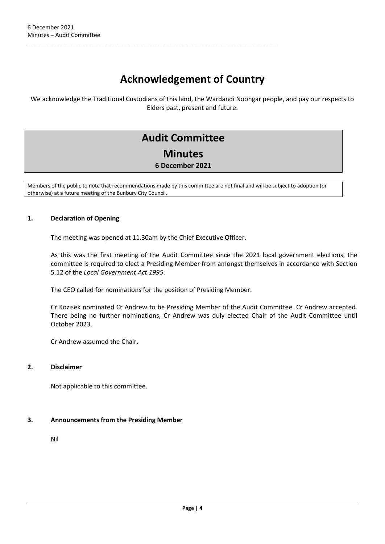## **Acknowledgement of Country**

We acknowledge the Traditional Custodians of this land, the Wardandi Noongar people, and pay our respects to Elders past, present and future.

## **Audit Committee Minutes 6 December 2021**

Members of the public to note that recommendations made by this committee are not final and will be subject to adoption (or otherwise) at a future meeting of the Bunbury City Council.

#### <span id="page-3-0"></span>**1. Declaration of Opening**

The meeting was opened at 11.30am by the Chief Executive Officer.

\_\_\_\_\_\_\_\_\_\_\_\_\_\_\_\_\_\_\_\_\_\_\_\_\_\_\_\_\_\_\_\_\_\_\_\_\_\_\_\_\_\_\_\_\_\_\_\_\_\_\_\_\_\_\_\_\_\_\_\_\_\_\_\_\_\_\_\_\_\_\_\_\_\_\_\_\_\_

As this was the first meeting of the Audit Committee since the 2021 local government elections, the committee is required to elect a Presiding Member from amongst themselves in accordance with Section 5.12 of the *Local Government Act 1995*.

The CEO called for nominations for the position of Presiding Member.

Cr Kozisek nominated Cr Andrew to be Presiding Member of the Audit Committee. Cr Andrew accepted. There being no further nominations, Cr Andrew was duly elected Chair of the Audit Committee until October 2023.

Cr Andrew assumed the Chair.

#### <span id="page-3-1"></span>**2. Disclaimer**

Not applicable to this committee.

### <span id="page-3-2"></span>**3. Announcements from the Presiding Member**

Nil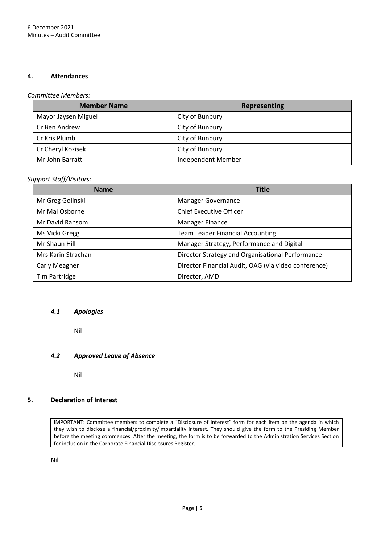#### <span id="page-4-0"></span>**4. Attendances**

### *Committee Members:*

| <b>Member Name</b>  | Representing       |
|---------------------|--------------------|
| Mayor Jaysen Miguel | City of Bunbury    |
| Cr Ben Andrew       | City of Bunbury    |
| Cr Kris Plumb       | City of Bunbury    |
| Cr Cheryl Kozisek   | City of Bunbury    |
| Mr John Barratt     | Independent Member |

\_\_\_\_\_\_\_\_\_\_\_\_\_\_\_\_\_\_\_\_\_\_\_\_\_\_\_\_\_\_\_\_\_\_\_\_\_\_\_\_\_\_\_\_\_\_\_\_\_\_\_\_\_\_\_\_\_\_\_\_\_\_\_\_\_\_\_\_\_\_\_\_\_\_\_\_\_\_

#### *Support Staff/Visitors:*

| <b>Name</b>        | <b>Title</b>                                         |  |  |
|--------------------|------------------------------------------------------|--|--|
| Mr Greg Golinski   | <b>Manager Governance</b>                            |  |  |
| Mr Mal Osborne     | <b>Chief Executive Officer</b>                       |  |  |
| Mr David Ransom    | Manager Finance                                      |  |  |
| Ms Vicki Gregg     | <b>Team Leader Financial Accounting</b>              |  |  |
| Mr Shaun Hill      | Manager Strategy, Performance and Digital            |  |  |
| Mrs Karin Strachan | Director Strategy and Organisational Performance     |  |  |
| Carly Meagher      | Director Financial Audit, OAG (via video conference) |  |  |
| Tim Partridge      | Director, AMD                                        |  |  |

#### <span id="page-4-1"></span>*4.1 Apologies*

Nil

### <span id="page-4-2"></span>*4.2 Approved Leave of Absence*

Nil

### <span id="page-4-3"></span>**5. Declaration of Interest**

IMPORTANT: Committee members to complete a "Disclosure of Interest" form for each item on the agenda in which they wish to disclose a financial/proximity/impartiality interest. They should give the form to the Presiding Member before the meeting commences. After the meeting, the form is to be forwarded to the Administration Services Section for inclusion in the Corporate Financial Disclosures Register.

Nil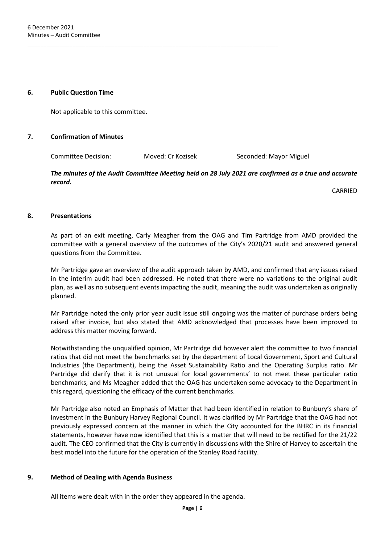#### <span id="page-5-0"></span>**6. Public Question Time**

Not applicable to this committee.

#### <span id="page-5-1"></span>**7. Confirmation of Minutes**

Committee Decision: Moved: Cr Kozisek Seconded: Mayor Miguel

\_\_\_\_\_\_\_\_\_\_\_\_\_\_\_\_\_\_\_\_\_\_\_\_\_\_\_\_\_\_\_\_\_\_\_\_\_\_\_\_\_\_\_\_\_\_\_\_\_\_\_\_\_\_\_\_\_\_\_\_\_\_\_\_\_\_\_\_\_\_\_\_\_\_\_\_\_\_

#### *The minutes of the Audit Committee Meeting held on 28 July 2021 are confirmed as a true and accurate record.*

CARRIED

#### <span id="page-5-2"></span>**8. Presentations**

As part of an exit meeting, Carly Meagher from the OAG and Tim Partridge from AMD provided the committee with a general overview of the outcomes of the City's 2020/21 audit and answered general questions from the Committee.

Mr Partridge gave an overview of the audit approach taken by AMD, and confirmed that any issues raised in the interim audit had been addressed. He noted that there were no variations to the original audit plan, as well as no subsequent events impacting the audit, meaning the audit was undertaken as originally planned.

Mr Partridge noted the only prior year audit issue still ongoing was the matter of purchase orders being raised after invoice, but also stated that AMD acknowledged that processes have been improved to address this matter moving forward.

Notwithstanding the unqualified opinion, Mr Partridge did however alert the committee to two financial ratios that did not meet the benchmarks set by the department of Local Government, Sport and Cultural Industries (the Department), being the Asset Sustainability Ratio and the Operating Surplus ratio. Mr Partridge did clarify that it is not unusual for local governments' to not meet these particular ratio benchmarks, and Ms Meagher added that the OAG has undertaken some advocacy to the Department in this regard, questioning the efficacy of the current benchmarks.

Mr Partridge also noted an Emphasis of Matter that had been identified in relation to Bunbury's share of investment in the Bunbury Harvey Regional Council. It was clarified by Mr Partridge that the OAG had not previously expressed concern at the manner in which the City accounted for the BHRC in its financial statements, however have now identified that this is a matter that will need to be rectified for the 21/22 audit. The CEO confirmed that the City is currently in discussions with the Shire of Harvey to ascertain the best model into the future for the operation of the Stanley Road facility.

#### <span id="page-5-3"></span>**9. Method of Dealing with Agenda Business**

All items were dealt with in the order they appeared in the agenda.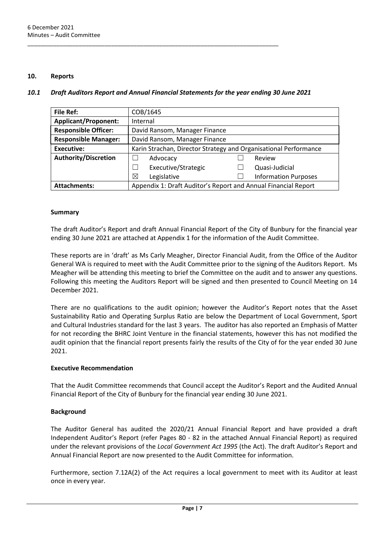#### <span id="page-6-0"></span>**10. Reports**

#### <span id="page-6-1"></span>*10.1 Draft Auditors Report and Annual Financial Statements for the year ending 30 June 2021*

\_\_\_\_\_\_\_\_\_\_\_\_\_\_\_\_\_\_\_\_\_\_\_\_\_\_\_\_\_\_\_\_\_\_\_\_\_\_\_\_\_\_\_\_\_\_\_\_\_\_\_\_\_\_\_\_\_\_\_\_\_\_\_\_\_\_\_\_\_\_\_\_\_\_\_\_\_\_

| <b>File Ref:</b>            | COB/1645                                                         |  |                             |  |
|-----------------------------|------------------------------------------------------------------|--|-----------------------------|--|
| <b>Applicant/Proponent:</b> | Internal                                                         |  |                             |  |
| <b>Responsible Officer:</b> | David Ransom, Manager Finance                                    |  |                             |  |
| <b>Responsible Manager:</b> | David Ransom, Manager Finance                                    |  |                             |  |
| <b>Executive:</b>           | Karin Strachan, Director Strategy and Organisational Performance |  |                             |  |
| <b>Authority/Discretion</b> | Advocacy                                                         |  | Review                      |  |
|                             | Executive/Strategic                                              |  | Quasi-Judicial              |  |
|                             | Legislative<br>X                                                 |  | <b>Information Purposes</b> |  |
| <b>Attachments:</b>         | Appendix 1: Draft Auditor's Report and Annual Financial Report   |  |                             |  |

#### **Summary**

The draft Auditor's Report and draft Annual Financial Report of the City of Bunbury for the financial year ending 30 June 2021 are attached at Appendix 1 for the information of the Audit Committee.

These reports are in 'draft' as Ms Carly Meagher, Director Financial Audit, from the Office of the Auditor General WA is required to meet with the Audit Committee prior to the signing of the Auditors Report. Ms Meagher will be attending this meeting to brief the Committee on the audit and to answer any questions. Following this meeting the Auditors Report will be signed and then presented to Council Meeting on 14 December 2021.

There are no qualifications to the audit opinion; however the Auditor's Report notes that the Asset Sustainability Ratio and Operating Surplus Ratio are below the Department of Local Government, Sport and Cultural Industries standard for the last 3 years. The auditor has also reported an Emphasis of Matter for not recording the BHRC Joint Venture in the financial statements, however this has not modified the audit opinion that the financial report presents fairly the results of the City of for the year ended 30 June 2021.

#### **Executive Recommendation**

That the Audit Committee recommends that Council accept the Auditor's Report and the Audited Annual Financial Report of the City of Bunbury for the financial year ending 30 June 2021.

#### **Background**

The Auditor General has audited the 2020/21 Annual Financial Report and have provided a draft Independent Auditor's Report (refer Pages 80 - 82 in the attached Annual Financial Report) as required under the relevant provisions of the *Local Government Act 1995* (the Act). The draft Auditor's Report and Annual Financial Report are now presented to the Audit Committee for information.

Furthermore, section 7.12A(2) of the Act requires a local government to meet with its Auditor at least once in every year.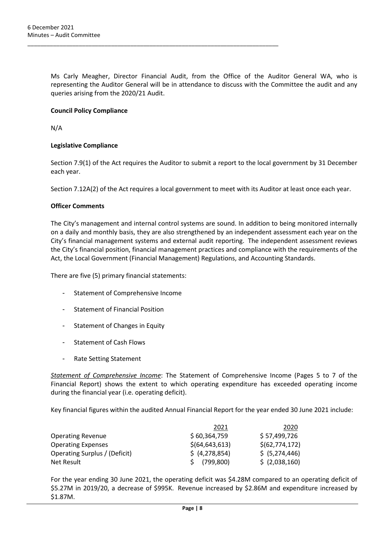Ms Carly Meagher, Director Financial Audit, from the Office of the Auditor General WA, who is representing the Auditor General will be in attendance to discuss with the Committee the audit and any queries arising from the 2020/21 Audit.

\_\_\_\_\_\_\_\_\_\_\_\_\_\_\_\_\_\_\_\_\_\_\_\_\_\_\_\_\_\_\_\_\_\_\_\_\_\_\_\_\_\_\_\_\_\_\_\_\_\_\_\_\_\_\_\_\_\_\_\_\_\_\_\_\_\_\_\_\_\_\_\_\_\_\_\_\_\_

#### **Council Policy Compliance**

N/A

#### **Legislative Compliance**

Section 7.9(1) of the Act requires the Auditor to submit a report to the local government by 31 December each year.

Section 7.12A(2) of the Act requires a local government to meet with its Auditor at least once each year.

#### **Officer Comments**

The City's management and internal control systems are sound. In addition to being monitored internally on a daily and monthly basis, they are also strengthened by an independent assessment each year on the City's financial management systems and external audit reporting. The independent assessment reviews the City's financial position, financial management practices and compliance with the requirements of the Act, the Local Government (Financial Management) Regulations, and Accounting Standards.

There are five (5) primary financial statements:

- Statement of Comprehensive Income
- **Statement of Financial Position**
- Statement of Changes in Equity
- Statement of Cash Flows
- Rate Setting Statement

*Statement of Comprehensive Income*: The Statement of Comprehensive Income (Pages 5 to 7 of the Financial Report) shows the extent to which operating expenditure has exceeded operating income during the financial year (i.e. operating deficit).

Key financial figures within the audited Annual Financial Report for the year ended 30 June 2021 include:

|                               | 2021             | 2020             |
|-------------------------------|------------------|------------------|
| <b>Operating Revenue</b>      | \$60,364,759     | \$57,499,726     |
| <b>Operating Expenses</b>     | \$(64, 643, 613) | \$(62, 774, 172) |
| Operating Surplus / (Deficit) | \$ (4,278,854)   | \$ (5,274,446)   |
| Net Result                    | (799, 800)       | \$ (2,038,160)   |

For the year ending 30 June 2021, the operating deficit was \$4.28M compared to an operating deficit of \$5.27M in 2019/20, a decrease of \$995K. Revenue increased by \$2.86M and expenditure increased by \$1.87M.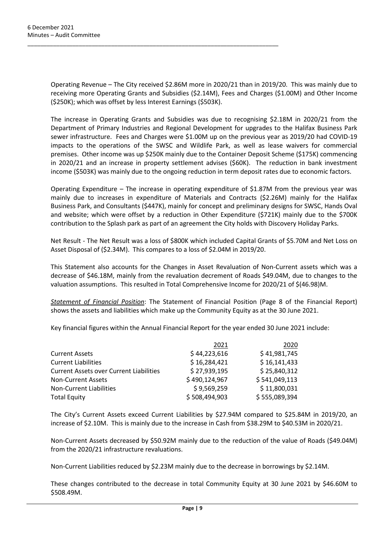Operating Revenue – The City received \$2.86M more in 2020/21 than in 2019/20. This was mainly due to receiving more Operating Grants and Subsidies (\$2.14M), Fees and Charges (\$1.00M) and Other Income (\$250K); which was offset by less Interest Earnings (\$503K).

\_\_\_\_\_\_\_\_\_\_\_\_\_\_\_\_\_\_\_\_\_\_\_\_\_\_\_\_\_\_\_\_\_\_\_\_\_\_\_\_\_\_\_\_\_\_\_\_\_\_\_\_\_\_\_\_\_\_\_\_\_\_\_\_\_\_\_\_\_\_\_\_\_\_\_\_\_\_

The increase in Operating Grants and Subsidies was due to recognising \$2.18M in 2020/21 from the Department of Primary Industries and Regional Development for upgrades to the Halifax Business Park sewer infrastructure. Fees and Charges were \$1.00M up on the previous year as 2019/20 had COVID-19 impacts to the operations of the SWSC and Wildlife Park, as well as lease waivers for commercial premises. Other income was up \$250K mainly due to the Container Deposit Scheme (\$175K) commencing in 2020/21 and an increase in property settlement advises (\$60K). The reduction in bank investment income (\$503K) was mainly due to the ongoing reduction in term deposit rates due to economic factors.

Operating Expenditure – The increase in operating expenditure of \$1.87M from the previous year was mainly due to increases in expenditure of Materials and Contracts (\$2.26M) mainly for the Halifax Business Park, and Consultants (\$447K), mainly for concept and preliminary designs for SWSC, Hands Oval and website; which were offset by a reduction in Other Expenditure (\$721K) mainly due to the \$700K contribution to the Splash park as part of an agreement the City holds with Discovery Holiday Parks.

Net Result - The Net Result was a loss of \$800K which included Capital Grants of \$5.70M and Net Loss on Asset Disposal of (\$2.34M). This compares to a loss of \$2.04M in 2019/20.

This Statement also accounts for the Changes in Asset Revaluation of Non-Current assets which was a decrease of \$46.18M, mainly from the revaluation decrement of Roads \$49.04M, due to changes to the valuation assumptions. This resulted in Total Comprehensive Income for 2020/21 of \$(46.98)M.

*Statement of Financial Position*: The Statement of Financial Position (Page 8 of the Financial Report) shows the assets and liabilities which make up the Community Equity as at the 30 June 2021.

Key financial figures within the Annual Financial Report for the year ended 30 June 2021 include:

|                                                | 2021          | 2020          |
|------------------------------------------------|---------------|---------------|
| <b>Current Assets</b>                          | \$44,223,616  | \$41,981,745  |
| <b>Current Liabilities</b>                     | \$16,284,421  | \$16,141,433  |
| <b>Current Assets over Current Liabilities</b> | \$27,939,195  | \$25,840,312  |
| <b>Non-Current Assets</b>                      | \$490,124,967 | \$541,049,113 |
| <b>Non-Current Liabilities</b>                 | \$9,569,259   | \$11,800,031  |
| <b>Total Equity</b>                            | \$508,494,903 | \$555,089,394 |

The City's Current Assets exceed Current Liabilities by \$27.94M compared to \$25.84M in 2019/20, an increase of \$2.10M. This is mainly due to the increase in Cash from \$38.29M to \$40.53M in 2020/21.

Non-Current Assets decreased by \$50.92M mainly due to the reduction of the value of Roads (\$49.04M) from the 2020/21 infrastructure revaluations.

Non-Current Liabilities reduced by \$2.23M mainly due to the decrease in borrowings by \$2.14M.

These changes contributed to the decrease in total Community Equity at 30 June 2021 by \$46.60M to \$508.49M.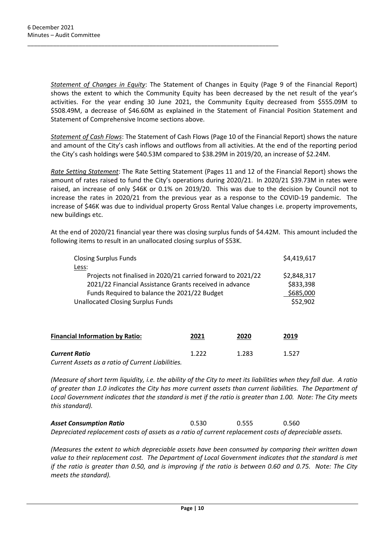*Statement of Changes in Equity*: The Statement of Changes in Equity (Page 9 of the Financial Report) shows the extent to which the Community Equity has been decreased by the net result of the year's activities. For the year ending 30 June 2021, the Community Equity decreased from \$555.09M to \$508.49M, a decrease of \$46.60M as explained in the Statement of Financial Position Statement and Statement of Comprehensive Income sections above.

\_\_\_\_\_\_\_\_\_\_\_\_\_\_\_\_\_\_\_\_\_\_\_\_\_\_\_\_\_\_\_\_\_\_\_\_\_\_\_\_\_\_\_\_\_\_\_\_\_\_\_\_\_\_\_\_\_\_\_\_\_\_\_\_\_\_\_\_\_\_\_\_\_\_\_\_\_\_

*Statement of Cash Flows*: The Statement of Cash Flows (Page 10 of the Financial Report) shows the nature and amount of the City's cash inflows and outflows from all activities. At the end of the reporting period the City's cash holdings were \$40.53M compared to \$38.29M in 2019/20, an increase of \$2.24M.

*Rate Setting Statement*: The Rate Setting Statement (Pages 11 and 12 of the Financial Report) shows the amount of rates raised to fund the City's operations during 2020/21. In 2020/21 \$39.73M in rates were raised, an increase of only \$46K or 0.1% on 2019/20. This was due to the decision by Council not to increase the rates in 2020/21 from the previous year as a response to the COVID-19 pandemic. The increase of \$46K was due to individual property Gross Rental Value changes i.e. property improvements, new buildings etc.

At the end of 2020/21 financial year there was closing surplus funds of \$4.42M. This amount included the following items to result in an unallocated closing surplus of \$53K.

| <b>Closing Surplus Funds</b>                                 |       |       | \$4,419,617 |
|--------------------------------------------------------------|-------|-------|-------------|
| Less:                                                        |       |       |             |
| Projects not finalised in 2020/21 carried forward to 2021/22 |       |       | \$2,848,317 |
| 2021/22 Financial Assistance Grants received in advance      |       |       | \$833,398   |
| Funds Required to balance the 2021/22 Budget                 |       |       | \$685,000   |
| <b>Unallocated Closing Surplus Funds</b>                     |       |       | \$52,902    |
|                                                              |       |       |             |
| <b>Financial Information by Ratio:</b>                       | 2021  | 2020  | 2019        |
| <b>Current Ratio</b>                                         | 1.222 | 1.283 | 1.527       |

*Current Assets as a ratio of Current Liabilities.*

*(Measure of short term liquidity, i.e. the ability of the City to meet its liabilities when they fall due. A ratio of greater than 1.0 indicates the City has more current assets than current liabilities. The Department of Local Government indicates that the standard is met if the ratio is greater than 1.00. Note: The City meets this standard).*

*Asset Consumption Ratio* 0.530 0.555 0.560 *Depreciated replacement costs of assets as a ratio of current replacement costs of depreciable assets.* 

*(Measures the extent to which depreciable assets have been consumed by comparing their written down value to their replacement cost. The Department of Local Government indicates that the standard is met if the ratio is greater than 0.50, and is improving if the ratio is between 0.60 and 0.75. Note: The City meets the standard).*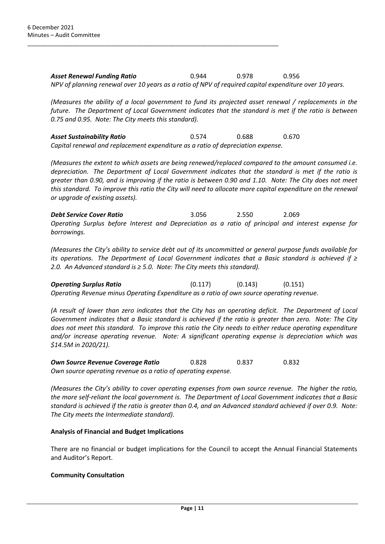*Asset Renewal Funding Ratio* 0.944 0.978 0.956 *NPV of planning renewal over 10 years as a ratio of NPV of required capital expenditure over 10 years.* 

*(Measures the ability of a local government to fund its projected asset renewal / replacements in the future. The Department of Local Government indicates that the standard is met if the ratio is between 0.75 and 0.95. Note: The City meets this standard).*

*Asset Sustainability Ratio* 0.574 0.688 0.670 *Capital renewal and replacement expenditure as a ratio of depreciation expense.* 

\_\_\_\_\_\_\_\_\_\_\_\_\_\_\_\_\_\_\_\_\_\_\_\_\_\_\_\_\_\_\_\_\_\_\_\_\_\_\_\_\_\_\_\_\_\_\_\_\_\_\_\_\_\_\_\_\_\_\_\_\_\_\_\_\_\_\_\_\_\_\_\_\_\_\_\_\_\_

*(Measures the extent to which assets are being renewed/replaced compared to the amount consumed i.e. depreciation. The Department of Local Government indicates that the standard is met if the ratio is greater than 0.90, and is improving if the ratio is between 0.90 and 1.10. Note: The City does not meet this standard. To improve this ratio the City will need to allocate more capital expenditure on the renewal or upgrade of existing assets).*

*Debt Service Cover Ratio* 3.056 2.550 2.069 *Operating Surplus before Interest and Depreciation as a ratio of principal and interest expense for borrowings.*

*(Measures the City's ability to service debt out of its uncommitted or general purpose funds available for its operations. The Department of Local Government indicates that a Basic standard is achieved if ≥ 2.0. An Advanced standard is ≥ 5.0. Note: The City meets this standard).* 

*Operating Surplus Ratio* (0.117) (0.143) (0.151) *Operating Revenue minus Operating Expenditure as a ratio of own source operating revenue.*

*(A result of lower than zero indicates that the City has an operating deficit. The Department of Local Government indicates that a Basic standard is achieved if the ratio is greater than zero. Note: The City does not meet this standard. To improve this ratio the City needs to either reduce operating expenditure and/or increase operating revenue. Note: A significant operating expense is depreciation which was \$14.5M in 2020/21).*

*Own Source Revenue Coverage Ratio* 0.828 0.837 0.832 *Own source operating revenue as a ratio of operating expense.*

*(Measures the City's ability to cover operating expenses from own source revenue. The higher the ratio, the more self-reliant the local government is. The Department of Local Government indicates that a Basic standard is achieved if the ratio is greater than 0.4, and an Advanced standard achieved if over 0.9. Note: The City meets the Intermediate standard).*

#### **Analysis of Financial and Budget Implications**

There are no financial or budget implications for the Council to accept the Annual Financial Statements and Auditor's Report.

#### **Community Consultation**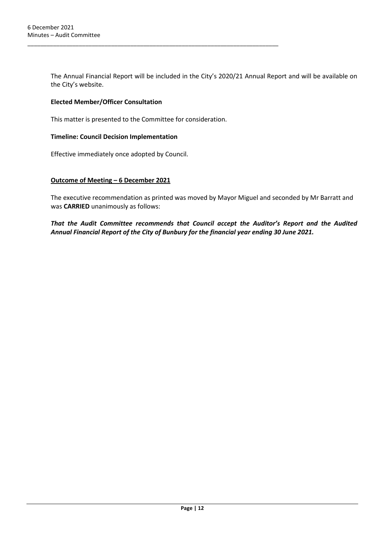The Annual Financial Report will be included in the City's 2020/21 Annual Report and will be available on the City's website.

#### **Elected Member/Officer Consultation**

This matter is presented to the Committee for consideration.

\_\_\_\_\_\_\_\_\_\_\_\_\_\_\_\_\_\_\_\_\_\_\_\_\_\_\_\_\_\_\_\_\_\_\_\_\_\_\_\_\_\_\_\_\_\_\_\_\_\_\_\_\_\_\_\_\_\_\_\_\_\_\_\_\_\_\_\_\_\_\_\_\_\_\_\_\_\_

#### **Timeline: Council Decision Implementation**

Effective immediately once adopted by Council.

#### **Outcome of Meeting – 6 December 2021**

The executive recommendation as printed was moved by Mayor Miguel and seconded by Mr Barratt and was **CARRIED** unanimously as follows:

*That the Audit Committee recommends that Council accept the Auditor's Report and the Audited Annual Financial Report of the City of Bunbury for the financial year ending 30 June 2021.*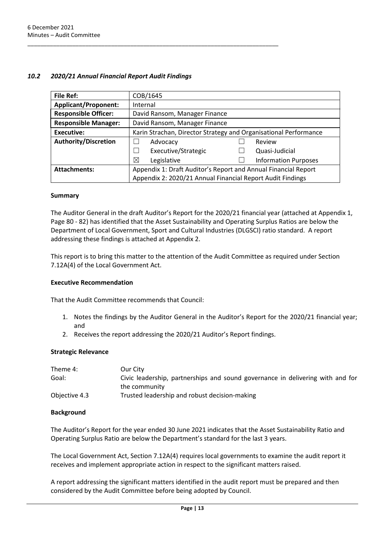### <span id="page-12-0"></span>*10.2 2020/21 Annual Financial Report Audit Findings*

\_\_\_\_\_\_\_\_\_\_\_\_\_\_\_\_\_\_\_\_\_\_\_\_\_\_\_\_\_\_\_\_\_\_\_\_\_\_\_\_\_\_\_\_\_\_\_\_\_\_\_\_\_\_\_\_\_\_\_\_\_\_\_\_\_\_\_\_\_\_\_\_\_\_\_\_\_\_

| <b>File Ref:</b>            | COB/1645                                                         |  |                             |
|-----------------------------|------------------------------------------------------------------|--|-----------------------------|
| <b>Applicant/Proponent:</b> | Internal                                                         |  |                             |
| <b>Responsible Officer:</b> | David Ransom, Manager Finance                                    |  |                             |
| <b>Responsible Manager:</b> | David Ransom, Manager Finance                                    |  |                             |
| <b>Executive:</b>           | Karin Strachan, Director Strategy and Organisational Performance |  |                             |
| <b>Authority/Discretion</b> | Advocacy                                                         |  | Review                      |
|                             | Executive/Strategic                                              |  | Quasi-Judicial              |
|                             | ⊠<br>Legislative                                                 |  | <b>Information Purposes</b> |
| <b>Attachments:</b>         | Appendix 1: Draft Auditor's Report and Annual Financial Report   |  |                             |
|                             | Appendix 2: 2020/21 Annual Financial Report Audit Findings       |  |                             |

#### **Summary**

The Auditor General in the draft Auditor's Report for the 2020/21 financial year (attached at Appendix 1, Page 80 - 82) has identified that the Asset Sustainability and Operating Surplus Ratios are below the Department of Local Government, Sport and Cultural Industries (DLGSCI) ratio standard. A report addressing these findings is attached at Appendix 2.

This report is to bring this matter to the attention of the Audit Committee as required under Section 7.12A(4) of the Local Government Act.

#### **Executive Recommendation**

That the Audit Committee recommends that Council:

- 1. Notes the findings by the Auditor General in the Auditor's Report for the 2020/21 financial year; and
- 2. Receives the report addressing the 2020/21 Auditor's Report findings.

#### **Strategic Relevance**

| Theme 4:      | Our City                                                                       |
|---------------|--------------------------------------------------------------------------------|
| Goal:         | Civic leadership, partnerships and sound governance in delivering with and for |
|               | the community                                                                  |
| Objective 4.3 | Trusted leadership and robust decision-making                                  |

#### **Background**

The Auditor's Report for the year ended 30 June 2021 indicates that the Asset Sustainability Ratio and Operating Surplus Ratio are below the Department's standard for the last 3 years.

The Local Government Act, Section 7.12A(4) requires local governments to examine the audit report it receives and implement appropriate action in respect to the significant matters raised.

A report addressing the significant matters identified in the audit report must be prepared and then considered by the Audit Committee before being adopted by Council.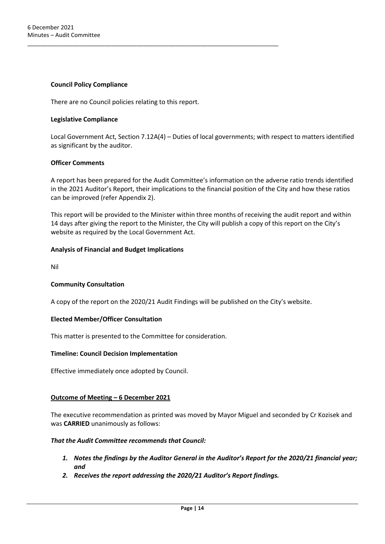#### **Council Policy Compliance**

There are no Council policies relating to this report.

\_\_\_\_\_\_\_\_\_\_\_\_\_\_\_\_\_\_\_\_\_\_\_\_\_\_\_\_\_\_\_\_\_\_\_\_\_\_\_\_\_\_\_\_\_\_\_\_\_\_\_\_\_\_\_\_\_\_\_\_\_\_\_\_\_\_\_\_\_\_\_\_\_\_\_\_\_\_

#### **Legislative Compliance**

Local Government Act, Section 7.12A(4) – Duties of local governments; with respect to matters identified as significant by the auditor.

#### **Officer Comments**

A report has been prepared for the Audit Committee's information on the adverse ratio trends identified in the 2021 Auditor's Report, their implications to the financial position of the City and how these ratios can be improved (refer Appendix 2).

This report will be provided to the Minister within three months of receiving the audit report and within 14 days after giving the report to the Minister, the City will publish a copy of this report on the City's website as required by the Local Government Act.

#### **Analysis of Financial and Budget Implications**

Nil

#### **Community Consultation**

A copy of the report on the 2020/21 Audit Findings will be published on the City's website.

#### **Elected Member/Officer Consultation**

This matter is presented to the Committee for consideration.

#### **Timeline: Council Decision Implementation**

Effective immediately once adopted by Council.

#### **Outcome of Meeting – 6 December 2021**

The executive recommendation as printed was moved by Mayor Miguel and seconded by Cr Kozisek and was **CARRIED** unanimously as follows:

#### *That the Audit Committee recommends that Council:*

- *1. Notes the findings by the Auditor General in the Auditor's Report for the 2020/21 financial year; and*
- *2. Receives the report addressing the 2020/21 Auditor's Report findings.*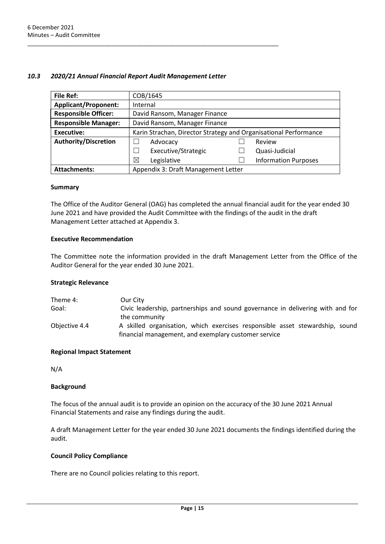#### <span id="page-14-0"></span>*10.3 2020/21 Annual Financial Report Audit Management Letter*

\_\_\_\_\_\_\_\_\_\_\_\_\_\_\_\_\_\_\_\_\_\_\_\_\_\_\_\_\_\_\_\_\_\_\_\_\_\_\_\_\_\_\_\_\_\_\_\_\_\_\_\_\_\_\_\_\_\_\_\_\_\_\_\_\_\_\_\_\_\_\_\_\_\_\_\_\_\_

| <b>File Ref:</b>            | COB/1645                                                         |  |                             |
|-----------------------------|------------------------------------------------------------------|--|-----------------------------|
| <b>Applicant/Proponent:</b> | Internal                                                         |  |                             |
| <b>Responsible Officer:</b> | David Ransom, Manager Finance                                    |  |                             |
| <b>Responsible Manager:</b> | David Ransom, Manager Finance                                    |  |                             |
| <b>Executive:</b>           | Karin Strachan, Director Strategy and Organisational Performance |  |                             |
| <b>Authority/Discretion</b> | Advocacy                                                         |  | Review                      |
|                             | Executive/Strategic                                              |  | Quasi-Judicial              |
|                             | ⊠<br>Legislative                                                 |  | <b>Information Purposes</b> |
| <b>Attachments:</b>         | Appendix 3: Draft Management Letter                              |  |                             |

#### **Summary**

The Office of the Auditor General (OAG) has completed the annual financial audit for the year ended 30 June 2021 and have provided the Audit Committee with the findings of the audit in the draft Management Letter attached at Appendix 3.

#### **Executive Recommendation**

The Committee note the information provided in the draft Management Letter from the Office of the Auditor General for the year ended 30 June 2021.

#### **Strategic Relevance**

| Theme 4:      | Our City                                                                       |
|---------------|--------------------------------------------------------------------------------|
| Goal:         | Civic leadership, partnerships and sound governance in delivering with and for |
|               | the community                                                                  |
| Objective 4.4 | A skilled organisation, which exercises responsible asset stewardship, sound   |
|               | financial management, and exemplary customer service                           |

#### **Regional Impact Statement**

N/A

#### **Background**

The focus of the annual audit is to provide an opinion on the accuracy of the 30 June 2021 Annual Financial Statements and raise any findings during the audit.

A draft Management Letter for the year ended 30 June 2021 documents the findings identified during the audit.

### **Council Policy Compliance**

There are no Council policies relating to this report.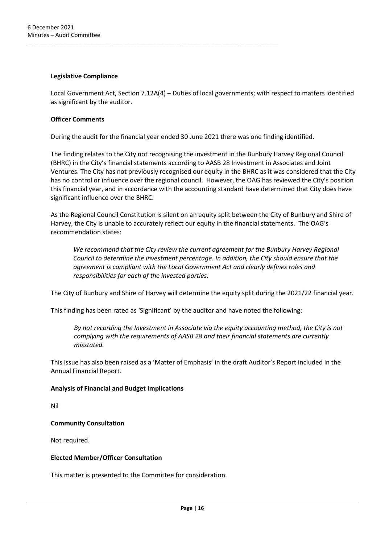#### **Legislative Compliance**

Local Government Act, Section 7.12A(4) – Duties of local governments; with respect to matters identified as significant by the auditor.

#### **Officer Comments**

During the audit for the financial year ended 30 June 2021 there was one finding identified.

\_\_\_\_\_\_\_\_\_\_\_\_\_\_\_\_\_\_\_\_\_\_\_\_\_\_\_\_\_\_\_\_\_\_\_\_\_\_\_\_\_\_\_\_\_\_\_\_\_\_\_\_\_\_\_\_\_\_\_\_\_\_\_\_\_\_\_\_\_\_\_\_\_\_\_\_\_\_

The finding relates to the City not recognising the investment in the Bunbury Harvey Regional Council (BHRC) in the City's financial statements according to AASB 28 Investment in Associates and Joint Ventures. The City has not previously recognised our equity in the BHRC as it was considered that the City has no control or influence over the regional council. However, the OAG has reviewed the City's position this financial year, and in accordance with the accounting standard have determined that City does have significant influence over the BHRC.

As the Regional Council Constitution is silent on an equity split between the City of Bunbury and Shire of Harvey, the City is unable to accurately reflect our equity in the financial statements. The OAG's recommendation states:

*We recommend that the City review the current agreement for the Bunbury Harvey Regional Council to determine the investment percentage. In addition, the City should ensure that the agreement is compliant with the Local Government Act and clearly defines roles and responsibilities for each of the invested parties.*

The City of Bunbury and Shire of Harvey will determine the equity split during the 2021/22 financial year.

This finding has been rated as 'Significant' by the auditor and have noted the following:

*By not recording the Investment in Associate via the equity accounting method, the City is not complying with the requirements of AASB 28 and their financial statements are currently misstated.*

This issue has also been raised as a 'Matter of Emphasis' in the draft Auditor's Report included in the Annual Financial Report.

#### **Analysis of Financial and Budget Implications**

Nil

#### **Community Consultation**

Not required.

#### **Elected Member/Officer Consultation**

This matter is presented to the Committee for consideration.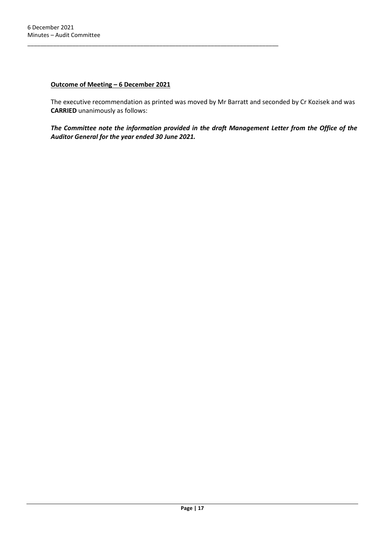#### **Outcome of Meeting – 6 December 2021**

\_\_\_\_\_\_\_\_\_\_\_\_\_\_\_\_\_\_\_\_\_\_\_\_\_\_\_\_\_\_\_\_\_\_\_\_\_\_\_\_\_\_\_\_\_\_\_\_\_\_\_\_\_\_\_\_\_\_\_\_\_\_\_\_\_\_\_\_\_\_\_\_\_\_\_\_\_\_

The executive recommendation as printed was moved by Mr Barratt and seconded by Cr Kozisek and was **CARRIED** unanimously as follows:

<span id="page-16-0"></span>*The Committee note the information provided in the draft Management Letter from the Office of the Auditor General for the year ended 30 June 2021.*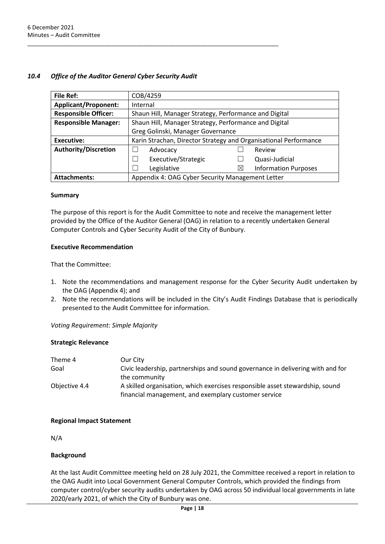### *10.4 Office of the Auditor General Cyber Security Audit*

\_\_\_\_\_\_\_\_\_\_\_\_\_\_\_\_\_\_\_\_\_\_\_\_\_\_\_\_\_\_\_\_\_\_\_\_\_\_\_\_\_\_\_\_\_\_\_\_\_\_\_\_\_\_\_\_\_\_\_\_\_\_\_\_\_\_\_\_\_\_\_\_\_\_\_\_\_\_

| <b>File Ref:</b>            | COB/4259                                                         |          |                             |
|-----------------------------|------------------------------------------------------------------|----------|-----------------------------|
| <b>Applicant/Proponent:</b> | Internal                                                         |          |                             |
| <b>Responsible Officer:</b> | Shaun Hill, Manager Strategy, Performance and Digital            |          |                             |
| <b>Responsible Manager:</b> | Shaun Hill, Manager Strategy, Performance and Digital            |          |                             |
|                             | Greg Golinski, Manager Governance                                |          |                             |
| <b>Executive:</b>           | Karin Strachan, Director Strategy and Organisational Performance |          |                             |
| <b>Authority/Discretion</b> | Advocacy                                                         |          | Review                      |
|                             | Executive/Strategic                                              |          | Quasi-Judicial              |
|                             | Legislative                                                      | $\times$ | <b>Information Purposes</b> |
| <b>Attachments:</b>         | Appendix 4: OAG Cyber Security Management Letter                 |          |                             |

#### **Summary**

The purpose of this report is for the Audit Committee to note and receive the management letter provided by the Office of the Auditor General (OAG) in relation to a recently undertaken General Computer Controls and Cyber Security Audit of the City of Bunbury.

#### **Executive Recommendation**

That the Committee:

- 1. Note the recommendations and management response for the Cyber Security Audit undertaken by the OAG (Appendix 4); and
- 2. Note the recommendations will be included in the City's Audit Findings Database that is periodically presented to the Audit Committee for information.

*Voting Requirement: Simple Majority*

#### **Strategic Relevance**

| Theme 4       | Our City                                                                       |
|---------------|--------------------------------------------------------------------------------|
| Goal          | Civic leadership, partnerships and sound governance in delivering with and for |
|               | the community                                                                  |
| Objective 4.4 | A skilled organisation, which exercises responsible asset stewardship, sound   |
|               | financial management, and exemplary customer service                           |

#### **Regional Impact Statement**

N/A

#### **Background**

At the last Audit Committee meeting held on 28 July 2021, the Committee received a report in relation to the OAG Audit into Local Government General Computer Controls, which provided the findings from computer control/cyber security audits undertaken by OAG across 50 individual local governments in late 2020/early 2021, of which the City of Bunbury was one.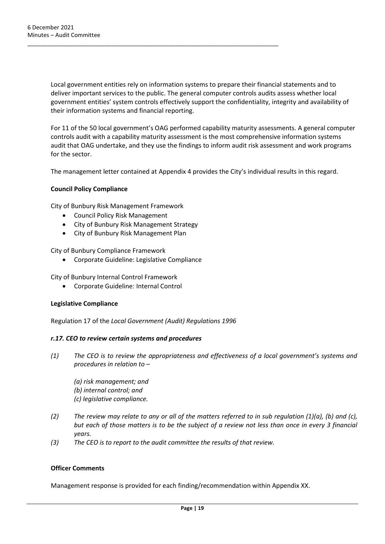Local government entities rely on information systems to prepare their financial statements and to deliver important services to the public. The general computer controls audits assess whether local government entities' system controls effectively support the confidentiality, integrity and availability of their information systems and financial reporting.

For 11 of the 50 local government's OAG performed capability maturity assessments. A general computer controls audit with a capability maturity assessment is the most comprehensive information systems audit that OAG undertake, and they use the findings to inform audit risk assessment and work programs for the sector.

The management letter contained at Appendix 4 provides the City's individual results in this regard.

#### **Council Policy Compliance**

City of Bunbury Risk Management Framework

- Council Policy Risk Management
- City of Bunbury Risk Management Strategy

\_\_\_\_\_\_\_\_\_\_\_\_\_\_\_\_\_\_\_\_\_\_\_\_\_\_\_\_\_\_\_\_\_\_\_\_\_\_\_\_\_\_\_\_\_\_\_\_\_\_\_\_\_\_\_\_\_\_\_\_\_\_\_\_\_\_\_\_\_\_\_\_\_\_\_\_\_\_

• City of Bunbury Risk Management Plan

City of Bunbury Compliance Framework

• Corporate Guideline: Legislative Compliance

City of Bunbury Internal Control Framework

• Corporate Guideline: Internal Control

#### **Legislative Compliance**

Regulation 17 of the *Local Government (Audit) Regulations 1996*

#### *r.17. CEO to review certain systems and procedures*

*(1) The CEO is to review the appropriateness and effectiveness of a local government's systems and procedures in relation to –*

*(a) risk management; and (b) internal control; and (c) legislative compliance.*

- *(2) The review may relate to any or all of the matters referred to in sub regulation (1)(a), (b) and (c), but each of those matters is to be the subject of a review not less than once in every 3 financial years.*
- *(3) The CEO is to report to the audit committee the results of that review.*

#### **Officer Comments**

Management response is provided for each finding/recommendation within Appendix XX.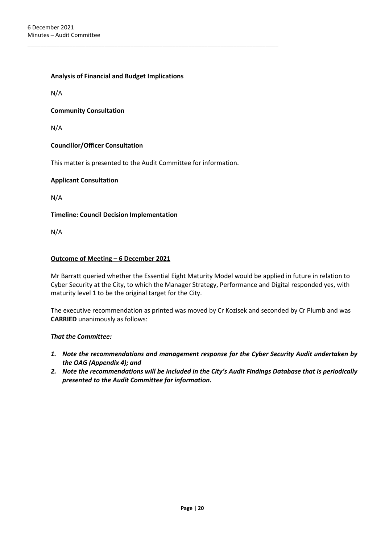**Analysis of Financial and Budget Implications**

N/A

#### **Community Consultation**

N/A

#### **Councillor/Officer Consultation**

This matter is presented to the Audit Committee for information.

\_\_\_\_\_\_\_\_\_\_\_\_\_\_\_\_\_\_\_\_\_\_\_\_\_\_\_\_\_\_\_\_\_\_\_\_\_\_\_\_\_\_\_\_\_\_\_\_\_\_\_\_\_\_\_\_\_\_\_\_\_\_\_\_\_\_\_\_\_\_\_\_\_\_\_\_\_\_

#### **Applicant Consultation**

N/A

**Timeline: Council Decision Implementation**

N/A

#### **Outcome of Meeting – 6 December 2021**

Mr Barratt queried whether the Essential Eight Maturity Model would be applied in future in relation to Cyber Security at the City, to which the Manager Strategy, Performance and Digital responded yes, with maturity level 1 to be the original target for the City.

The executive recommendation as printed was moved by Cr Kozisek and seconded by Cr Plumb and was **CARRIED** unanimously as follows:

#### *That the Committee:*

- *1. Note the recommendations and management response for the Cyber Security Audit undertaken by the OAG (Appendix 4); and*
- *2. Note the recommendations will be included in the City's Audit Findings Database that is periodically presented to the Audit Committee for information.*